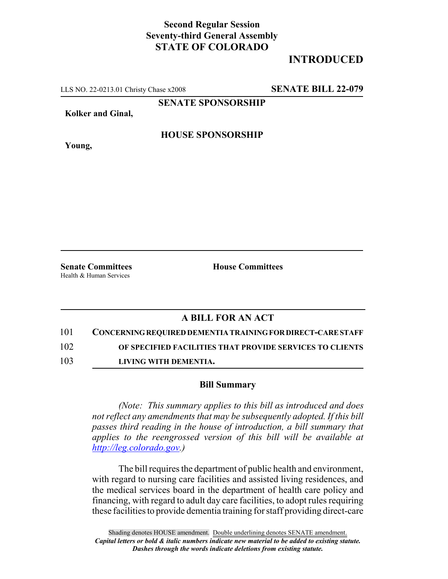### **Second Regular Session Seventy-third General Assembly STATE OF COLORADO**

# **INTRODUCED**

LLS NO. 22-0213.01 Christy Chase x2008 **SENATE BILL 22-079**

**SENATE SPONSORSHIP**

**Kolker and Ginal,**

**Young,**

### **HOUSE SPONSORSHIP**

Health & Human Services

**Senate Committees House Committees** 

### **A BILL FOR AN ACT**

# 101 **CONCERNING REQUIRED DEMENTIA TRAINING FOR DIRECT-CARE STAFF**

102 **OF SPECIFIED FACILITIES THAT PROVIDE SERVICES TO CLIENTS**

103 **LIVING WITH DEMENTIA.**

#### **Bill Summary**

*(Note: This summary applies to this bill as introduced and does not reflect any amendments that may be subsequently adopted. If this bill passes third reading in the house of introduction, a bill summary that applies to the reengrossed version of this bill will be available at http://leg.colorado.gov.)*

The bill requires the department of public health and environment, with regard to nursing care facilities and assisted living residences, and the medical services board in the department of health care policy and financing, with regard to adult day care facilities, to adopt rules requiring these facilities to provide dementia training for staff providing direct-care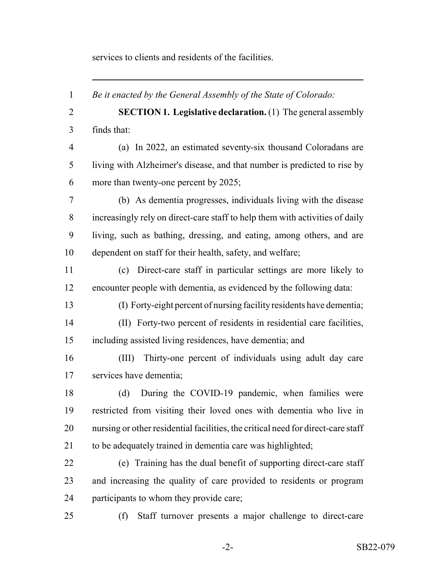services to clients and residents of the facilities.

 *Be it enacted by the General Assembly of the State of Colorado:* **SECTION 1. Legislative declaration.** (1) The general assembly finds that: (a) In 2022, an estimated seventy-six thousand Coloradans are living with Alzheimer's disease, and that number is predicted to rise by more than twenty-one percent by 2025; (b) As dementia progresses, individuals living with the disease increasingly rely on direct-care staff to help them with activities of daily living, such as bathing, dressing, and eating, among others, and are dependent on staff for their health, safety, and welfare; (c) Direct-care staff in particular settings are more likely to encounter people with dementia, as evidenced by the following data: (I) Forty-eight percent of nursing facility residents have dementia; (II) Forty-two percent of residents in residential care facilities, including assisted living residences, have dementia; and (III) Thirty-one percent of individuals using adult day care services have dementia; (d) During the COVID-19 pandemic, when families were restricted from visiting their loved ones with dementia who live in nursing or other residential facilities, the critical need for direct-care staff 21 to be adequately trained in dementia care was highlighted; (e) Training has the dual benefit of supporting direct-care staff and increasing the quality of care provided to residents or program participants to whom they provide care; (f) Staff turnover presents a major challenge to direct-care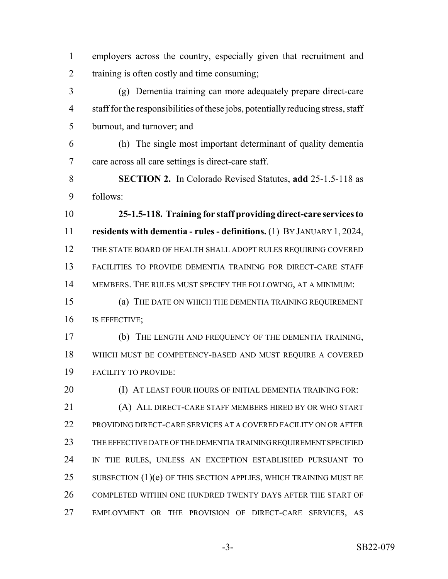employers across the country, especially given that recruitment and training is often costly and time consuming; (g) Dementia training can more adequately prepare direct-care

 staff for the responsibilities of these jobs, potentially reducing stress, staff burnout, and turnover; and

 (h) The single most important determinant of quality dementia care across all care settings is direct-care staff.

 **SECTION 2.** In Colorado Revised Statutes, **add** 25-1.5-118 as follows:

 **25-1.5-118. Training for staff providing direct-care services to residents with dementia - rules - definitions.** (1) BY JANUARY 1, 2024, THE STATE BOARD OF HEALTH SHALL ADOPT RULES REQUIRING COVERED FACILITIES TO PROVIDE DEMENTIA TRAINING FOR DIRECT-CARE STAFF MEMBERS. THE RULES MUST SPECIFY THE FOLLOWING, AT A MINIMUM:

 (a) THE DATE ON WHICH THE DEMENTIA TRAINING REQUIREMENT IS EFFECTIVE;

 (b) THE LENGTH AND FREQUENCY OF THE DEMENTIA TRAINING, WHICH MUST BE COMPETENCY-BASED AND MUST REQUIRE A COVERED FACILITY TO PROVIDE:

**(I) AT LEAST FOUR HOURS OF INITIAL DEMENTIA TRAINING FOR:**  (A) ALL DIRECT-CARE STAFF MEMBERS HIRED BY OR WHO START PROVIDING DIRECT-CARE SERVICES AT A COVERED FACILITY ON OR AFTER THE EFFECTIVE DATE OF THE DEMENTIA TRAINING REQUIREMENT SPECIFIED IN THE RULES, UNLESS AN EXCEPTION ESTABLISHED PURSUANT TO 25 SUBSECTION  $(1)(e)$  OF THIS SECTION APPLIES, WHICH TRAINING MUST BE 26 COMPLETED WITHIN ONE HUNDRED TWENTY DAYS AFTER THE START OF EMPLOYMENT OR THE PROVISION OF DIRECT-CARE SERVICES, AS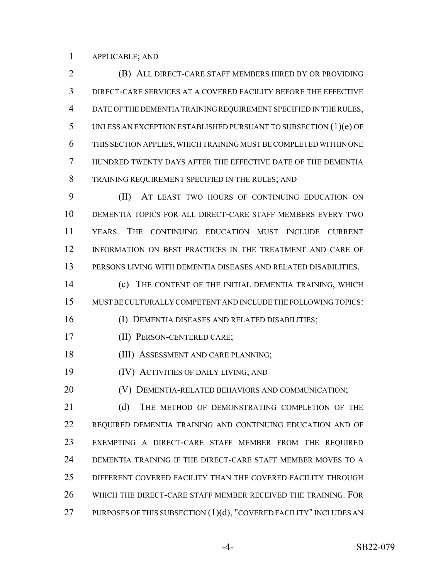APPLICABLE; AND

 (B) ALL DIRECT-CARE STAFF MEMBERS HIRED BY OR PROVIDING DIRECT-CARE SERVICES AT A COVERED FACILITY BEFORE THE EFFECTIVE DATE OF THE DEMENTIA TRAINING REQUIREMENT SPECIFIED IN THE RULES, UNLESS AN EXCEPTION ESTABLISHED PURSUANT TO SUBSECTION (1)(e) OF THIS SECTION APPLIES, WHICH TRAINING MUST BE COMPLETED WITHIN ONE HUNDRED TWENTY DAYS AFTER THE EFFECTIVE DATE OF THE DEMENTIA TRAINING REQUIREMENT SPECIFIED IN THE RULES; AND

 (II) AT LEAST TWO HOURS OF CONTINUING EDUCATION ON DEMENTIA TOPICS FOR ALL DIRECT-CARE STAFF MEMBERS EVERY TWO YEARS. THE CONTINUING EDUCATION MUST INCLUDE CURRENT INFORMATION ON BEST PRACTICES IN THE TREATMENT AND CARE OF PERSONS LIVING WITH DEMENTIA DISEASES AND RELATED DISABILITIES.

 (c) THE CONTENT OF THE INITIAL DEMENTIA TRAINING, WHICH MUST BE CULTURALLY COMPETENT AND INCLUDE THE FOLLOWING TOPICS:

(I) DEMENTIA DISEASES AND RELATED DISABILITIES;

(II) PERSON-CENTERED CARE;

18 (III) ASSESSMENT AND CARE PLANNING;

(IV) ACTIVITIES OF DAILY LIVING; AND

(V) DEMENTIA-RELATED BEHAVIORS AND COMMUNICATION;

21 (d) THE METHOD OF DEMONSTRATING COMPLETION OF THE REQUIRED DEMENTIA TRAINING AND CONTINUING EDUCATION AND OF EXEMPTING A DIRECT-CARE STAFF MEMBER FROM THE REQUIRED DEMENTIA TRAINING IF THE DIRECT-CARE STAFF MEMBER MOVES TO A DIFFERENT COVERED FACILITY THAN THE COVERED FACILITY THROUGH WHICH THE DIRECT-CARE STAFF MEMBER RECEIVED THE TRAINING. FOR 27 PURPOSES OF THIS SUBSECTION (1)(d), "COVERED FACILITY" INCLUDES AN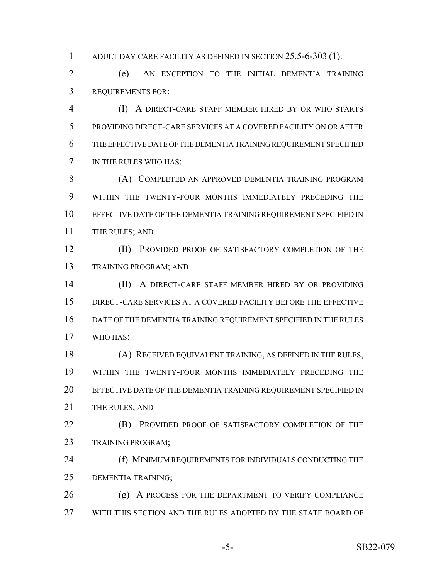ADULT DAY CARE FACILITY AS DEFINED IN SECTION 25.5-6-303 (1).

 (e) AN EXCEPTION TO THE INITIAL DEMENTIA TRAINING REQUIREMENTS FOR:

 (I) A DIRECT-CARE STAFF MEMBER HIRED BY OR WHO STARTS PROVIDING DIRECT-CARE SERVICES AT A COVERED FACILITY ON OR AFTER THE EFFECTIVE DATE OF THE DEMENTIA TRAINING REQUIREMENT SPECIFIED IN THE RULES WHO HAS:

**(A) COMPLETED AN APPROVED DEMENTIA TRAINING PROGRAM**  WITHIN THE TWENTY-FOUR MONTHS IMMEDIATELY PRECEDING THE EFFECTIVE DATE OF THE DEMENTIA TRAINING REQUIREMENT SPECIFIED IN 11 THE RULES; AND

 (B) PROVIDED PROOF OF SATISFACTORY COMPLETION OF THE TRAINING PROGRAM; AND

 (II) A DIRECT-CARE STAFF MEMBER HIRED BY OR PROVIDING DIRECT-CARE SERVICES AT A COVERED FACILITY BEFORE THE EFFECTIVE DATE OF THE DEMENTIA TRAINING REQUIREMENT SPECIFIED IN THE RULES WHO HAS:

 (A) RECEIVED EQUIVALENT TRAINING, AS DEFINED IN THE RULES, WITHIN THE TWENTY-FOUR MONTHS IMMEDIATELY PRECEDING THE 20 EFFECTIVE DATE OF THE DEMENTIA TRAINING REQUIREMENT SPECIFIED IN 21 THE RULES; AND

**(B)** PROVIDED PROOF OF SATISFACTORY COMPLETION OF THE TRAINING PROGRAM;

**(f) MINIMUM REQUIREMENTS FOR INDIVIDUALS CONDUCTING THE** DEMENTIA TRAINING;

26 (g) A PROCESS FOR THE DEPARTMENT TO VERIFY COMPLIANCE WITH THIS SECTION AND THE RULES ADOPTED BY THE STATE BOARD OF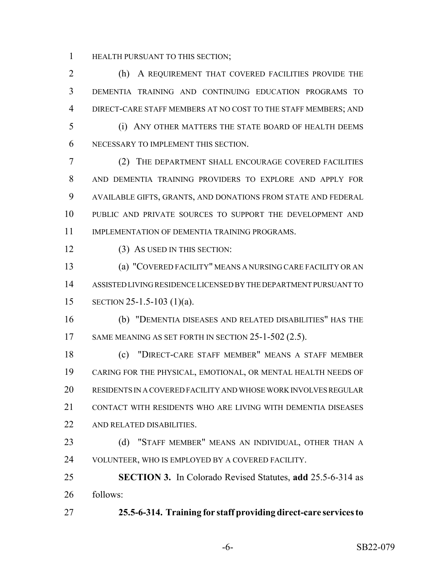HEALTH PURSUANT TO THIS SECTION;

 (h) A REQUIREMENT THAT COVERED FACILITIES PROVIDE THE DEMENTIA TRAINING AND CONTINUING EDUCATION PROGRAMS TO DIRECT-CARE STAFF MEMBERS AT NO COST TO THE STAFF MEMBERS; AND (i) ANY OTHER MATTERS THE STATE BOARD OF HEALTH DEEMS NECESSARY TO IMPLEMENT THIS SECTION. (2) THE DEPARTMENT SHALL ENCOURAGE COVERED FACILITIES AND DEMENTIA TRAINING PROVIDERS TO EXPLORE AND APPLY FOR AVAILABLE GIFTS, GRANTS, AND DONATIONS FROM STATE AND FEDERAL

 PUBLIC AND PRIVATE SOURCES TO SUPPORT THE DEVELOPMENT AND 11 IMPLEMENTATION OF DEMENTIA TRAINING PROGRAMS.

12 (3) AS USED IN THIS SECTION:

 (a) "COVERED FACILITY" MEANS A NURSING CARE FACILITY OR AN ASSISTED LIVING RESIDENCE LICENSED BY THE DEPARTMENT PURSUANT TO SECTION 25-1.5-103 (1)(a).

 (b) "DEMENTIA DISEASES AND RELATED DISABILITIES" HAS THE 17 SAME MEANING AS SET FORTH IN SECTION 25-1-502 (2.5).

 (c) "DIRECT-CARE STAFF MEMBER" MEANS A STAFF MEMBER CARING FOR THE PHYSICAL, EMOTIONAL, OR MENTAL HEALTH NEEDS OF RESIDENTS IN A COVERED FACILITY AND WHOSE WORK INVOLVES REGULAR CONTACT WITH RESIDENTS WHO ARE LIVING WITH DEMENTIA DISEASES AND RELATED DISABILITIES.

23 (d) "STAFF MEMBER" MEANS AN INDIVIDUAL, OTHER THAN A VOLUNTEER, WHO IS EMPLOYED BY A COVERED FACILITY.

 **SECTION 3.** In Colorado Revised Statutes, **add** 25.5-6-314 as follows:

**25.5-6-314. Training for staff providing direct-care services to**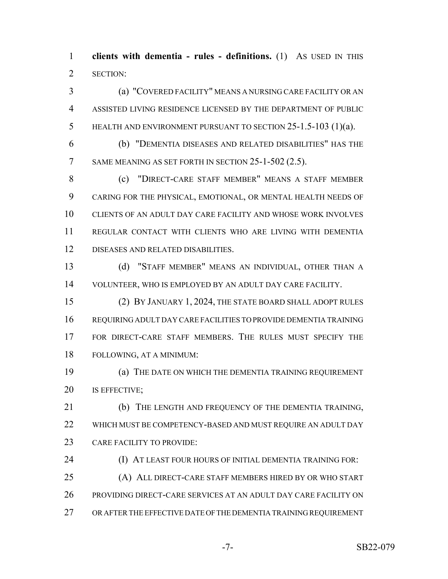**clients with dementia - rules - definitions.** (1) AS USED IN THIS SECTION:

 (a) "COVERED FACILITY" MEANS A NURSING CARE FACILITY OR AN ASSISTED LIVING RESIDENCE LICENSED BY THE DEPARTMENT OF PUBLIC HEALTH AND ENVIRONMENT PURSUANT TO SECTION 25-1.5-103 (1)(a).

 (b) "DEMENTIA DISEASES AND RELATED DISABILITIES" HAS THE 7 SAME MEANING AS SET FORTH IN SECTION 25-1-502 (2.5).

 (c) "DIRECT-CARE STAFF MEMBER" MEANS A STAFF MEMBER CARING FOR THE PHYSICAL, EMOTIONAL, OR MENTAL HEALTH NEEDS OF CLIENTS OF AN ADULT DAY CARE FACILITY AND WHOSE WORK INVOLVES REGULAR CONTACT WITH CLIENTS WHO ARE LIVING WITH DEMENTIA DISEASES AND RELATED DISABILITIES.

 (d) "STAFF MEMBER" MEANS AN INDIVIDUAL, OTHER THAN A VOLUNTEER, WHO IS EMPLOYED BY AN ADULT DAY CARE FACILITY.

 (2) BY JANUARY 1, 2024, THE STATE BOARD SHALL ADOPT RULES REQUIRING ADULT DAY CARE FACILITIES TO PROVIDE DEMENTIA TRAINING FOR DIRECT-CARE STAFF MEMBERS. THE RULES MUST SPECIFY THE FOLLOWING, AT A MINIMUM:

 (a) THE DATE ON WHICH THE DEMENTIA TRAINING REQUIREMENT IS EFFECTIVE;

 (b) THE LENGTH AND FREQUENCY OF THE DEMENTIA TRAINING, WHICH MUST BE COMPETENCY-BASED AND MUST REQUIRE AN ADULT DAY CARE FACILITY TO PROVIDE:

**(I) AT LEAST FOUR HOURS OF INITIAL DEMENTIA TRAINING FOR:** 

 (A) ALL DIRECT-CARE STAFF MEMBERS HIRED BY OR WHO START PROVIDING DIRECT-CARE SERVICES AT AN ADULT DAY CARE FACILITY ON OR AFTER THE EFFECTIVE DATE OF THE DEMENTIA TRAINING REQUIREMENT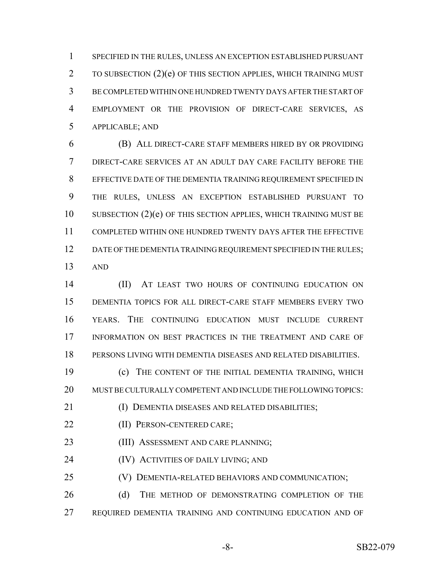SPECIFIED IN THE RULES, UNLESS AN EXCEPTION ESTABLISHED PURSUANT 2 TO SUBSECTION (2)(e) OF THIS SECTION APPLIES, WHICH TRAINING MUST BE COMPLETED WITHIN ONE HUNDRED TWENTY DAYS AFTER THE START OF EMPLOYMENT OR THE PROVISION OF DIRECT-CARE SERVICES, AS APPLICABLE; AND

 (B) ALL DIRECT-CARE STAFF MEMBERS HIRED BY OR PROVIDING DIRECT-CARE SERVICES AT AN ADULT DAY CARE FACILITY BEFORE THE EFFECTIVE DATE OF THE DEMENTIA TRAINING REQUIREMENT SPECIFIED IN THE RULES, UNLESS AN EXCEPTION ESTABLISHED PURSUANT TO SUBSECTION  $(2)(e)$  OF THIS SECTION APPLIES, WHICH TRAINING MUST BE COMPLETED WITHIN ONE HUNDRED TWENTY DAYS AFTER THE EFFECTIVE 12 DATE OF THE DEMENTIA TRAINING REQUIREMENT SPECIFIED IN THE RULES; AND

 (II) AT LEAST TWO HOURS OF CONTINUING EDUCATION ON DEMENTIA TOPICS FOR ALL DIRECT-CARE STAFF MEMBERS EVERY TWO YEARS. THE CONTINUING EDUCATION MUST INCLUDE CURRENT INFORMATION ON BEST PRACTICES IN THE TREATMENT AND CARE OF PERSONS LIVING WITH DEMENTIA DISEASES AND RELATED DISABILITIES.

 (c) THE CONTENT OF THE INITIAL DEMENTIA TRAINING, WHICH MUST BE CULTURALLY COMPETENT AND INCLUDE THE FOLLOWING TOPICS:

(I) DEMENTIA DISEASES AND RELATED DISABILITIES;

- (II) PERSON-CENTERED CARE;
- 23 (III) ASSESSMENT AND CARE PLANNING;
- **(IV) ACTIVITIES OF DAILY LIVING; AND**

(V) DEMENTIA-RELATED BEHAVIORS AND COMMUNICATION;

26 (d) THE METHOD OF DEMONSTRATING COMPLETION OF THE REQUIRED DEMENTIA TRAINING AND CONTINUING EDUCATION AND OF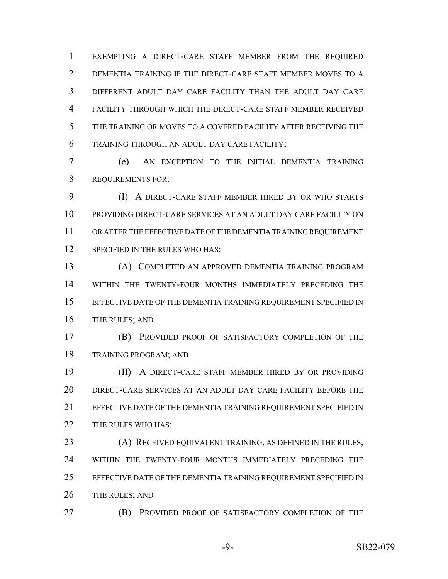EXEMPTING A DIRECT-CARE STAFF MEMBER FROM THE REQUIRED DEMENTIA TRAINING IF THE DIRECT-CARE STAFF MEMBER MOVES TO A DIFFERENT ADULT DAY CARE FACILITY THAN THE ADULT DAY CARE FACILITY THROUGH WHICH THE DIRECT-CARE STAFF MEMBER RECEIVED THE TRAINING OR MOVES TO A COVERED FACILITY AFTER RECEIVING THE TRAINING THROUGH AN ADULT DAY CARE FACILITY;

 (e) AN EXCEPTION TO THE INITIAL DEMENTIA TRAINING REQUIREMENTS FOR:

 (I) A DIRECT-CARE STAFF MEMBER HIRED BY OR WHO STARTS PROVIDING DIRECT-CARE SERVICES AT AN ADULT DAY CARE FACILITY ON OR AFTER THE EFFECTIVE DATE OF THE DEMENTIA TRAINING REQUIREMENT SPECIFIED IN THE RULES WHO HAS:

 (A) COMPLETED AN APPROVED DEMENTIA TRAINING PROGRAM WITHIN THE TWENTY-FOUR MONTHS IMMEDIATELY PRECEDING THE EFFECTIVE DATE OF THE DEMENTIA TRAINING REQUIREMENT SPECIFIED IN 16 THE RULES; AND

 (B) PROVIDED PROOF OF SATISFACTORY COMPLETION OF THE TRAINING PROGRAM; AND

 (II) A DIRECT-CARE STAFF MEMBER HIRED BY OR PROVIDING DIRECT-CARE SERVICES AT AN ADULT DAY CARE FACILITY BEFORE THE 21 EFFECTIVE DATE OF THE DEMENTIA TRAINING REQUIREMENT SPECIFIED IN 22 THE RULES WHO HAS:

 (A) RECEIVED EQUIVALENT TRAINING, AS DEFINED IN THE RULES, WITHIN THE TWENTY-FOUR MONTHS IMMEDIATELY PRECEDING THE 25 EFFECTIVE DATE OF THE DEMENTIA TRAINING REQUIREMENT SPECIFIED IN 26 THE RULES; AND

(B) PROVIDED PROOF OF SATISFACTORY COMPLETION OF THE